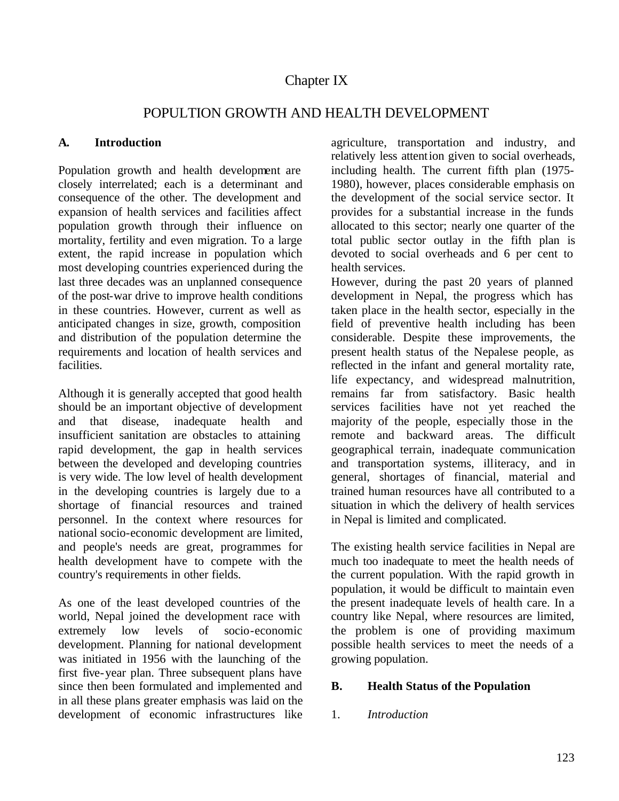# Chapter IX

# POPULTION GROWTH AND HEALTH DEVELOPMENT

## **A. Introduction**

Population growth and health development are closely interrelated; each is a determinant and consequence of the other. The development and expansion of health services and facilities affect population growth through their influence on mortality, fertility and even migration. To a large extent, the rapid increase in population which most developing countries experienced during the last three decades was an unplanned consequence of the post-war drive to improve health conditions in these countries. However, current as well as anticipated changes in size, growth, composition and distribution of the population determine the requirements and location of health services and facilities.

Although it is generally accepted that good health should be an important objective of development and that disease, inadequate health and insufficient sanitation are obstacles to attaining rapid development, the gap in health services between the developed and developing countries is very wide. The low level of health development in the developing countries is largely due to a shortage of financial resources and trained personnel. In the context where resources for national socio-economic development are limited, and people's needs are great, programmes for health development have to compete with the country's requirements in other fields.

As one of the least developed countries of the world, Nepal joined the development race with extremely low levels of socio-economic development. Planning for national development was initiated in 1956 with the launching of the first five-year plan. Three subsequent plans have since then been formulated and implemented and in all these plans greater emphasis was laid on the development of economic infrastructures like agriculture, transportation and industry, and relatively less attention given to social overheads, including health. The current fifth plan (1975- 1980), however, places considerable emphasis on the development of the social service sector. It provides for a substantial increase in the funds allocated to this sector; nearly one quarter of the total public sector outlay in the fifth plan is devoted to social overheads and 6 per cent to health services.

However, during the past 20 years of planned development in Nepal, the progress which has taken place in the health sector, especially in the field of preventive health including has been considerable. Despite these improvements, the present health status of the Nepalese people, as reflected in the infant and general mortality rate, life expectancy, and widespread malnutrition, remains far from satisfactory. Basic health services facilities have not yet reached the majority of the people, especially those in the remote and backward areas. The difficult geographical terrain, inadequate communication and transportation systems, illiteracy, and in general, shortages of financial, material and trained human resources have all contributed to a situation in which the delivery of health services in Nepal is limited and complicated.

The existing health service facilities in Nepal are much too inadequate to meet the health needs of the current population. With the rapid growth in population, it would be difficult to maintain even the present inadequate levels of health care. In a country like Nepal, where resources are limited, the problem is one of providing maximum possible health services to meet the needs of a growing population.

## **B. Health Status of the Population**

## 1. *Introduction*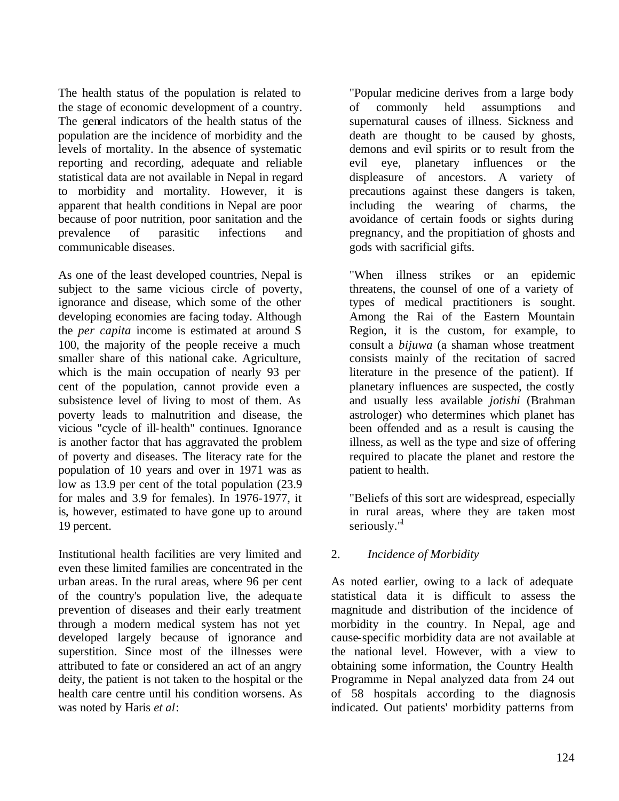The health status of the population is related to the stage of economic development of a country. The general indicators of the health status of the population are the incidence of morbidity and the levels of mortality. In the absence of systematic reporting and recording, adequate and reliable statistical data are not available in Nepal in regard to morbidity and mortality. However, it is apparent that health conditions in Nepal are poor because of poor nutrition, poor sanitation and the prevalence of parasitic infections and communicable diseases.

As one of the least developed countries, Nepal is subject to the same vicious circle of poverty, ignorance and disease, which some of the other developing economies are facing today. Although the *per capita* income is estimated at around \$ 100, the majority of the people receive a much smaller share of this national cake. Agriculture, which is the main occupation of nearly 93 per cent of the population, cannot provide even a subsistence level of living to most of them. As poverty leads to malnutrition and disease, the vicious "cycle of ill-health" continues. Ignorance is another factor that has aggravated the problem of poverty and diseases. The literacy rate for the population of 10 years and over in 1971 was as low as 13.9 per cent of the total population (23.9 for males and 3.9 for females). In 1976-1977, it is, however, estimated to have gone up to around 19 percent.

Institutional health facilities are very limited and even these limited families are concentrated in the urban areas. In the rural areas, where 96 per cent of the country's population live, the adequa te prevention of diseases and their early treatment through a modern medical system has not yet developed largely because of ignorance and superstition. Since most of the illnesses were attributed to fate or considered an act of an angry deity, the patient is not taken to the hospital or the health care centre until his condition worsens. As was noted by Haris *et al*:

"Popular medicine derives from a large body of commonly held assumptions and supernatural causes of illness. Sickness and death are thought to be caused by ghosts, demons and evil spirits or to result from the evil eye, planetary influences or the displeasure of ancestors. A variety of precautions against these dangers is taken, including the wearing of charms, the avoidance of certain foods or sights during pregnancy, and the propitiation of ghosts and gods with sacrificial gifts.

"When illness strikes or an epidemic threatens, the counsel of one of a variety of types of medical practitioners is sought. Among the Rai of the Eastern Mountain Region, it is the custom, for example, to consult a *bijuwa* (a shaman whose treatment consists mainly of the recitation of sacred literature in the presence of the patient). If planetary influences are suspected, the costly and usually less available *jotishi* (Brahman astrologer) who determines which planet has been offended and as a result is causing the illness, as well as the type and size of offering required to placate the planet and restore the patient to health.

"Beliefs of this sort are widespread, especially in rural areas, where they are taken most seriously."

## 2. *Incidence of Morbidity*

As noted earlier, owing to a lack of adequate statistical data it is difficult to assess the magnitude and distribution of the incidence of morbidity in the country. In Nepal, age and cause-specific morbidity data are not available at the national level. However, with a view to obtaining some information, the Country Health Programme in Nepal analyzed data from 24 out of 58 hospitals according to the diagnosis indicated. Out patients' morbidity patterns from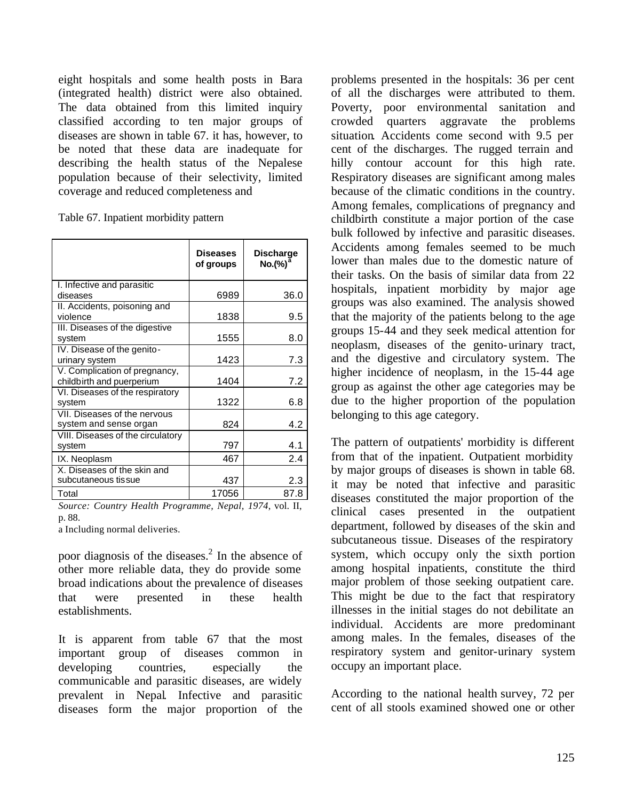eight hospitals and some health posts in Bara (integrated health) district were also obtained. The data obtained from this limited inquiry classified according to ten major groups of diseases are shown in table 67. it has, however, to be noted that these data are inadequate for describing the health status of the Nepalese population because of their selectivity, limited coverage and reduced completeness and

Table 67. Inpatient morbidity pattern

|                                                            | <b>Diseases</b><br>of groups | <b>Discharge</b><br>No.(%) <sup>a</sup> |
|------------------------------------------------------------|------------------------------|-----------------------------------------|
| I. Infective and parasitic<br>diseases                     | 6989                         | 36.0                                    |
| II. Accidents, poisoning and<br>violence                   | 1838                         | 9.5                                     |
| III. Diseases of the digestive<br>system                   | 1555                         | 8.0                                     |
| IV. Disease of the genito-<br>urinary system               | 1423                         | 7.3                                     |
| V. Complication of pregnancy,<br>childbirth and puerperium | 1404                         | 7.2                                     |
| VI. Diseases of the respiratory<br>system                  | 1322                         | 6.8                                     |
| VII. Diseases of the nervous<br>system and sense organ     | 824                          | 4.2                                     |
| VIII. Diseases of the circulatory<br>system                | 797                          | 4.1                                     |
| IX. Neoplasm                                               | 467                          | 2.4                                     |
| X. Diseases of the skin and<br>subcutaneous tissue         | 437                          | 2.3                                     |
| Total                                                      | 17056                        | 87.8                                    |

*Source: Country Health Programme, Nepal, 1974*, vol. II, p. 88.

a Including normal deliveries.

poor diagnosis of the diseases. $<sup>2</sup>$  In the absence of</sup> other more reliable data, they do provide some broad indications about the prevalence of diseases that were presented in these health establishments.

It is apparent from table 67 that the most important group of diseases common in developing countries, especially the communicable and parasitic diseases, are widely prevalent in Nepal. Infective and parasitic diseases form the major proportion of the

problems presented in the hospitals: 36 per cent of all the discharges were attributed to them. Poverty, poor environmental sanitation and crowded quarters aggravate the problems situation. Accidents come second with 9.5 per cent of the discharges. The rugged terrain and hilly contour account for this high rate. Respiratory diseases are significant among males because of the climatic conditions in the country. Among females, complications of pregnancy and childbirth constitute a major portion of the case bulk followed by infective and parasitic diseases. Accidents among females seemed to be much lower than males due to the domestic nature of their tasks. On the basis of similar data from 22 hospitals, inpatient morbidity by major age groups was also examined. The analysis showed that the majority of the patients belong to the age groups 15-44 and they seek medical attention for neoplasm, diseases of the genito-urinary tract, and the digestive and circulatory system. The higher incidence of neoplasm, in the 15-44 age group as against the other age categories may be due to the higher proportion of the population belonging to this age category.

The pattern of outpatients' morbidity is different from that of the inpatient. Outpatient morbidity by major groups of diseases is shown in table 68. it may be noted that infective and parasitic diseases constituted the major proportion of the clinical cases presented in the outpatient department, followed by diseases of the skin and subcutaneous tissue. Diseases of the respiratory system, which occupy only the sixth portion among hospital inpatients, constitute the third major problem of those seeking outpatient care. This might be due to the fact that respiratory illnesses in the initial stages do not debilitate an individual. Accidents are more predominant among males. In the females, diseases of the respiratory system and genitor-urinary system occupy an important place.

According to the national health survey, 72 per cent of all stools examined showed one or other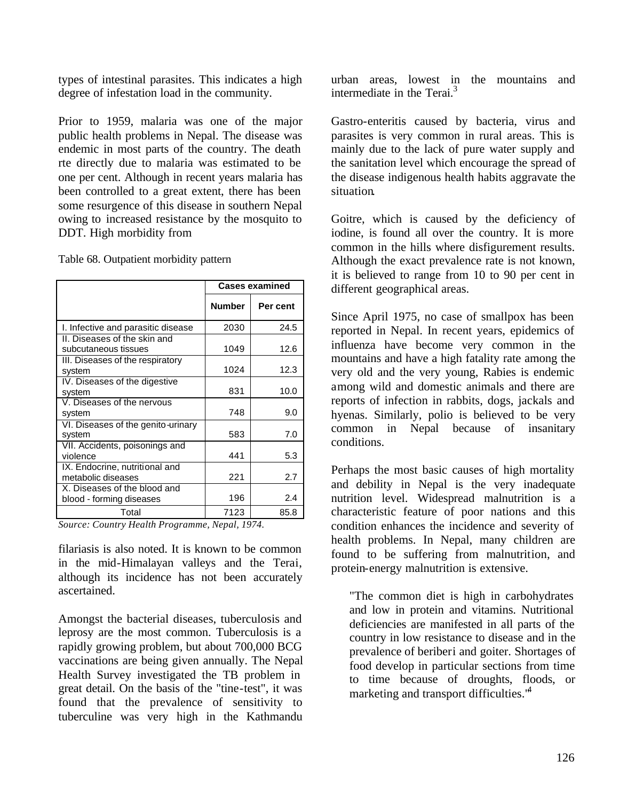types of intestinal parasites. This indicates a high degree of infestation load in the community.

Prior to 1959, malaria was one of the major public health problems in Nepal. The disease was endemic in most parts of the country. The death rte directly due to malaria was estimated to be one per cent. Although in recent years malaria has been controlled to a great extent, there has been some resurgence of this disease in southern Nepal owing to increased resistance by the mosquito to DDT. High morbidity from

|                                                          |               | <b>Cases examined</b> |
|----------------------------------------------------------|---------------|-----------------------|
|                                                          | <b>Number</b> | Per cent              |
| I. Infective and parasitic disease                       | 2030          | 24.5                  |
| II. Diseases of the skin and<br>subcutaneous tissues     | 1049          | 12.6                  |
| III. Diseases of the respiratory<br>system               | 1024          | 12.3                  |
| IV. Diseases of the digestive<br>system                  | 831           | 10.0                  |
| V. Diseases of the nervous<br>system                     | 748           | 9.0                   |
| VI. Diseases of the genito-urinary<br>system             | 583           | 7.0                   |
| VII. Accidents, poisonings and<br>violence               | 441           | 5.3                   |
| IX. Endocrine, nutritional and<br>metabolic diseases     | 221           | 2.7                   |
| X. Diseases of the blood and<br>blood - forming diseases | 196           | 2.4                   |
| Total                                                    | 7123          | 85.8                  |

Table 68. Outpatient morbidity pattern

*Source: Country Health Programme, Nepal, 1974.*

filariasis is also noted. It is known to be common in the mid-Himalayan valleys and the Terai, although its incidence has not been accurately ascertained.

Amongst the bacterial diseases, tuberculosis and leprosy are the most common. Tuberculosis is a rapidly growing problem, but about 700,000 BCG vaccinations are being given annually. The Nepal Health Survey investigated the TB problem in great detail. On the basis of the "tine-test", it was found that the prevalence of sensitivity to tuberculine was very high in the Kathmandu urban areas, lowest in the mountains and intermediate in the Terai. $3$ 

Gastro-enteritis caused by bacteria, virus and parasites is very common in rural areas. This is mainly due to the lack of pure water supply and the sanitation level which encourage the spread of the disease indigenous health habits aggravate the situation.

Goitre, which is caused by the deficiency of iodine, is found all over the country. It is more common in the hills where disfigurement results. Although the exact prevalence rate is not known, it is believed to range from 10 to 90 per cent in different geographical areas.

Since April 1975, no case of smallpox has been reported in Nepal. In recent years, epidemics of influenza have become very common in the mountains and have a high fatality rate among the very old and the very young, Rabies is endemic among wild and domestic animals and there are reports of infection in rabbits, dogs, jackals and hyenas. Similarly, polio is believed to be very common in Nepal because of insanitary conditions.

Perhaps the most basic causes of high mortality and debility in Nepal is the very inadequate nutrition level. Widespread malnutrition is a characteristic feature of poor nations and this condition enhances the incidence and severity of health problems. In Nepal, many children are found to be suffering from malnutrition, and protein-energy malnutrition is extensive.

"The common diet is high in carbohydrates and low in protein and vitamins. Nutritional deficiencies are manifested in all parts of the country in low resistance to disease and in the prevalence of beriberi and goiter. Shortages of food develop in particular sections from time to time because of droughts, floods, or marketing and transport difficulties.<sup>44</sup>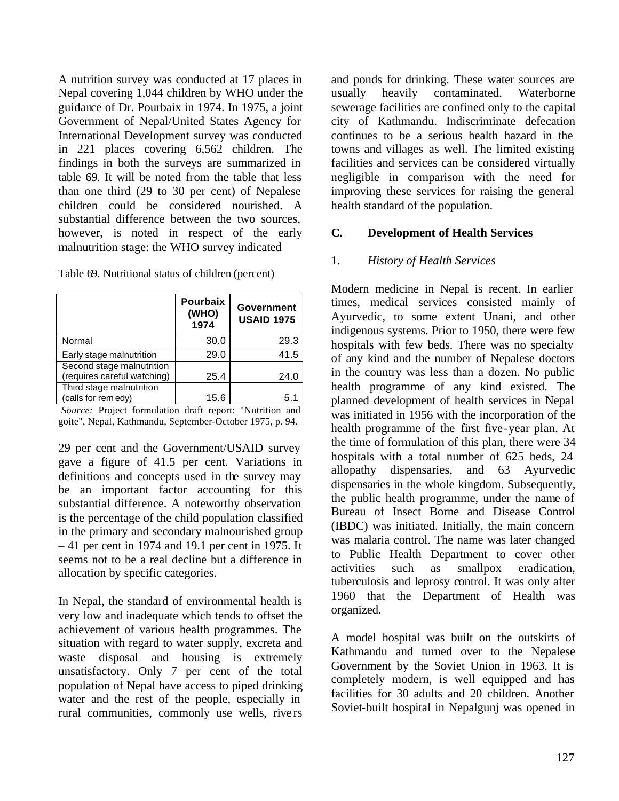A nutrition survey was conducted at 17 places in Nepal covering 1,044 children by WHO under the guidance of Dr. Pourbaix in 1974. In 1975, a joint Government of Nepal/United States Agency for International Development survey was conducted in 221 places covering 6,562 children. The findings in both the surveys are summarized in table 69. It will be noted from the table that less than one third (29 to 30 per cent) of Nepalese children could be considered nourished. A substantial difference between the two sources, however, is noted in respect of the early malnutrition stage: the WHO survey indicated

|  | Table 69. Nutritional status of children (percent) |  |  |  |
|--|----------------------------------------------------|--|--|--|
|--|----------------------------------------------------|--|--|--|

|                                                          | <b>Pourbaix</b><br>(WHO)<br>1974 | Government<br><b>USAID 1975</b> |
|----------------------------------------------------------|----------------------------------|---------------------------------|
| Normal                                                   | 30.0                             | 29.3                            |
| Early stage malnutrition                                 | 29.0                             | 41.5                            |
| Second stage malnutrition<br>(requires careful watching) | 25.4                             | 24.0                            |
| Third stage malnutrition<br>(calls for rem edy)          | 15.6                             | 5.1                             |

*Source:* Project formulation draft report: "Nutrition and goite", Nepal, Kathmandu, September-October 1975, p. 94.

29 per cent and the Government/USAID survey gave a figure of 41.5 per cent. Variations in definitions and concepts used in the survey may be an important factor accounting for this substantial difference. A noteworthy observation is the percentage of the child population classified in the primary and secondary malnourished group – 41 per cent in 1974 and 19.1 per cent in 1975. It seems not to be a real decline but a difference in allocation by specific categories.

In Nepal, the standard of environmental health is very low and inadequate which tends to offset the achievement of various health programmes. The situation with regard to water supply, excreta and waste disposal and housing is extremely unsatisfactory. Only 7 per cent of the total population of Nepal have access to piped drinking water and the rest of the people, especially in rural communities, commonly use wells, rivers

and ponds for drinking. These water sources are usually heavily contaminated. Waterborne sewerage facilities are confined only to the capital city of Kathmandu. Indiscriminate defecation continues to be a serious health hazard in the towns and villages as well. The limited existing facilities and services can be considered virtually negligible in comparison with the need for improving these services for raising the general health standard of the population.

#### **C. Development of Health Services**

#### 1. *History of Health Services*

Modern medicine in Nepal is recent. In earlier times, medical services consisted mainly of Ayurvedic, to some extent Unani, and other indigenous systems. Prior to 1950, there were few hospitals with few beds. There was no specialty of any kind and the number of Nepalese doctors in the country was less than a dozen. No public health programme of any kind existed. The planned development of health services in Nepal was initiated in 1956 with the incorporation of the health programme of the first five-year plan. At the time of formulation of this plan, there were 34 hospitals with a total number of 625 beds, 24 allopathy dispensaries, and 63 Ayurvedic dispensaries in the whole kingdom. Subsequently, the public health programme, under the name of Bureau of Insect Borne and Disease Control (IBDC) was initiated. Initially, the main concern was malaria control. The name was later changed to Public Health Department to cover other activities such as smallpox eradication, tuberculosis and leprosy control. It was only after 1960 that the Department of Health was organized.

A model hospital was built on the outskirts of Kathmandu and turned over to the Nepalese Government by the Soviet Union in 1963. It is completely modern, is well equipped and has facilities for 30 adults and 20 children. Another Soviet-built hospital in Nepalgunj was opened in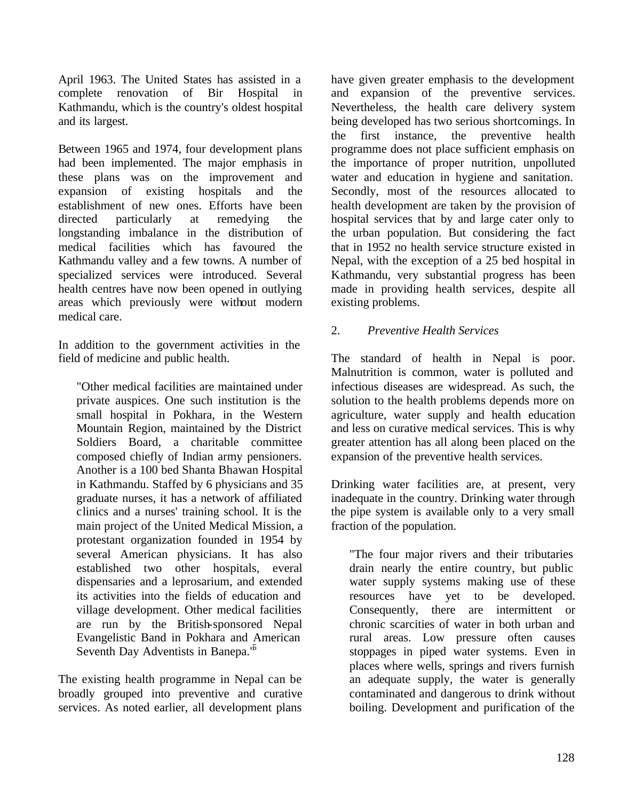April 1963. The United States has assisted in a complete renovation of Bir Hospital in Kathmandu, which is the country's oldest hospital and its largest.

Between 1965 and 1974, four development plans had been implemented. The major emphasis in these plans was on the improvement and expansion of existing hospitals and the establishment of new ones. Efforts have been directed particularly at remedying the longstanding imbalance in the distribution of medical facilities which has favoured the Kathmandu valley and a few towns. A number of specialized services were introduced. Several health centres have now been opened in outlying areas which previously were without modern medical care.

In addition to the government activities in the field of medicine and public health.

"Other medical facilities are maintained under private auspices. One such institution is the small hospital in Pokhara, in the Western Mountain Region, maintained by the District Soldiers Board, a charitable committee composed chiefly of Indian army pensioners. Another is a 100 bed Shanta Bhawan Hospital in Kathmandu. Staffed by 6 physicians and 35 graduate nurses, it has a network of affiliated clinics and a nurses' training school. It is the main project of the United Medical Mission, a protestant organization founded in 1954 by several American physicians. It has also established two other hospitals, everal dispensaries and a leprosarium, and extended its activities into the fields of education and village development. Other medical facilities are run by the British-sponsored Nepal Evangelistic Band in Pokhara and American Seventh Day Adventists in Banepa.<sup>16</sup>

The existing health programme in Nepal can be broadly grouped into preventive and curative services. As noted earlier, all development plans

have given greater emphasis to the development and expansion of the preventive services. Nevertheless, the health care delivery system being developed has two serious shortcomings. In the first instance, the preventive health programme does not place sufficient emphasis on the importance of proper nutrition, unpolluted water and education in hygiene and sanitation. Secondly, most of the resources allocated to health development are taken by the provision of hospital services that by and large cater only to the urban population. But considering the fact that in 1952 no health service structure existed in Nepal, with the exception of a 25 bed hospital in Kathmandu, very substantial progress has been made in providing health services, despite all existing problems.

## 2. *Preventive Health Services*

The standard of health in Nepal is poor. Malnutrition is common, water is polluted and infectious diseases are widespread. As such, the solution to the health problems depends more on agriculture, water supply and health education and less on curative medical services. This is why greater attention has all along been placed on the expansion of the preventive health services.

Drinking water facilities are, at present, very inadequate in the country. Drinking water through the pipe system is available only to a very small fraction of the population.

"The four major rivers and their tributaries drain nearly the entire country, but public water supply systems making use of these resources have yet to be developed. Consequently, there are intermittent or chronic scarcities of water in both urban and rural areas. Low pressure often causes stoppages in piped water systems. Even in places where wells, springs and rivers furnish an adequate supply, the water is generally contaminated and dangerous to drink without boiling. Development and purification of the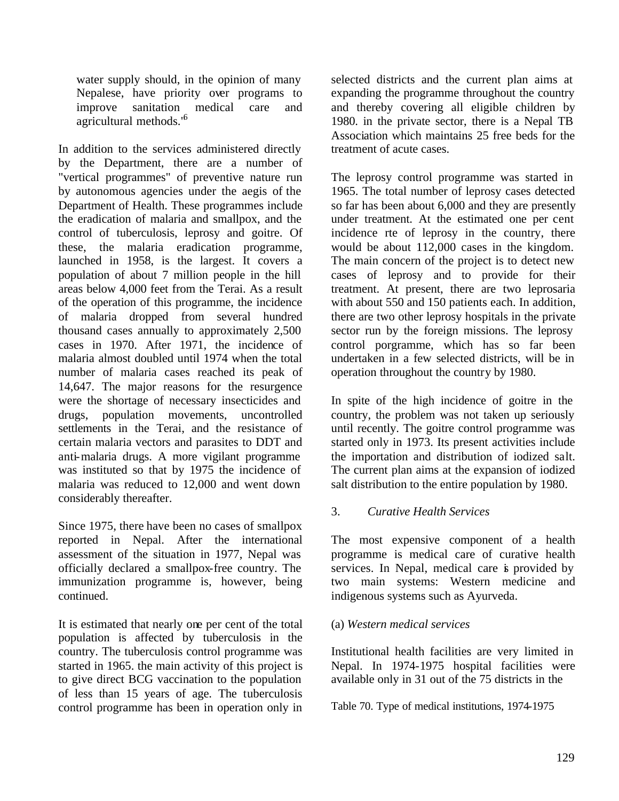water supply should, in the opinion of many Nepalese, have priority over programs to improve sanitation medical care and agricultural methods."<sup>6</sup>

In addition to the services administered directly by the Department, there are a number of "vertical programmes" of preventive nature run by autonomous agencies under the aegis of the Department of Health. These programmes include the eradication of malaria and smallpox, and the control of tuberculosis, leprosy and goitre. Of these, the malaria eradication programme, launched in 1958, is the largest. It covers a population of about 7 million people in the hill areas below 4,000 feet from the Terai. As a result of the operation of this programme, the incidence of malaria dropped from several hundred thousand cases annually to approximately 2,500 cases in 1970. After 1971, the incidence of malaria almost doubled until 1974 when the total number of malaria cases reached its peak of 14,647. The major reasons for the resurgence were the shortage of necessary insecticides and drugs, population movements, uncontrolled settlements in the Terai, and the resistance of certain malaria vectors and parasites to DDT and anti-malaria drugs. A more vigilant programme was instituted so that by 1975 the incidence of malaria was reduced to 12,000 and went down considerably thereafter.

Since 1975, there have been no cases of smallpox reported in Nepal. After the international assessment of the situation in 1977, Nepal was officially declared a smallpox-free country. The immunization programme is, however, being continued.

It is estimated that nearly one per cent of the total population is affected by tuberculosis in the country. The tuberculosis control programme was started in 1965. the main activity of this project is to give direct BCG vaccination to the population of less than 15 years of age. The tuberculosis control programme has been in operation only in

selected districts and the current plan aims at expanding the programme throughout the country and thereby covering all eligible children by 1980. in the private sector, there is a Nepal TB Association which maintains 25 free beds for the treatment of acute cases.

The leprosy control programme was started in 1965. The total number of leprosy cases detected so far has been about 6,000 and they are presently under treatment. At the estimated one per cent incidence rte of leprosy in the country, there would be about 112,000 cases in the kingdom. The main concern of the project is to detect new cases of leprosy and to provide for their treatment. At present, there are two leprosaria with about 550 and 150 patients each. In addition, there are two other leprosy hospitals in the private sector run by the foreign missions. The leprosy control porgramme, which has so far been undertaken in a few selected districts, will be in operation throughout the country by 1980.

In spite of the high incidence of goitre in the country, the problem was not taken up seriously until recently. The goitre control programme was started only in 1973. Its present activities include the importation and distribution of iodized salt. The current plan aims at the expansion of iodized salt distribution to the entire population by 1980.

## 3. *Curative Health Services*

The most expensive component of a health programme is medical care of curative health services. In Nepal, medical care is provided by two main systems: Western medicine and indigenous systems such as Ayurveda.

## (a) *Western medical services*

Institutional health facilities are very limited in Nepal. In 1974-1975 hospital facilities were available only in 31 out of the 75 districts in the

Table 70. Type of medical institutions, 1974-1975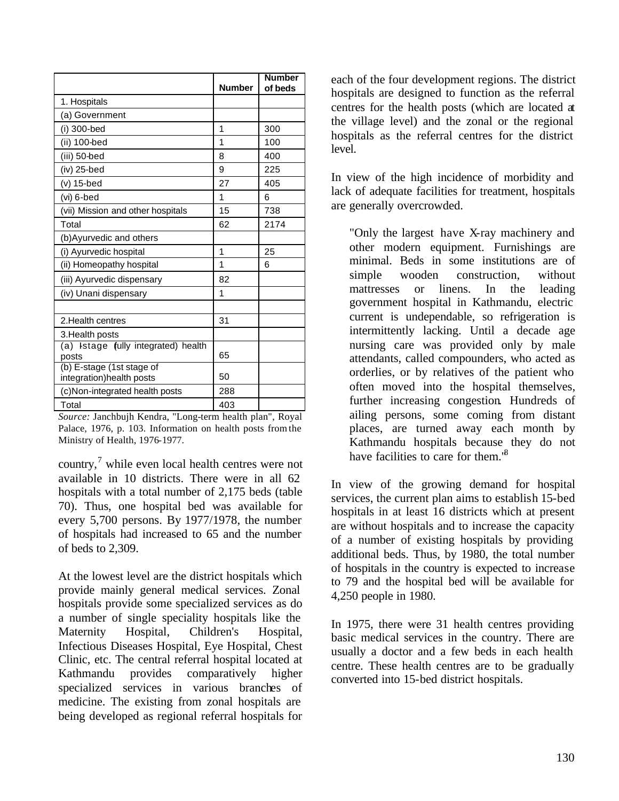|                                                        | <b>Number</b> | <b>Number</b><br>of beds |
|--------------------------------------------------------|---------------|--------------------------|
| 1. Hospitals                                           |               |                          |
| (a) Government                                         |               |                          |
| (i) 300-bed                                            | 1             | 300                      |
| (ii) 100-bed                                           | 1             | 100                      |
| (iii) 50-bed                                           | 8             | 400                      |
| $(iv)$ 25-bed                                          | 9             | 225                      |
| $(v)$ 15-bed                                           | 27            | 405                      |
| $(vi)$ 6-bed                                           | 1             | 6                        |
| (vii) Mission and other hospitals                      | 15            | 738                      |
| Total                                                  | 62            | 2174                     |
| (b) Ayurvedic and others                               |               |                          |
| (i) Ayurvedic hospital                                 | 1             | 25                       |
| (ii) Homeopathy hospital                               | 1             | 6                        |
| (iii) Ayurvedic dispensary                             | 82            |                          |
| (iv) Unani dispensary                                  | 1             |                          |
|                                                        |               |                          |
| 2. Health centres                                      | 31            |                          |
| 3. Health posts                                        |               |                          |
| (a) Istage (ully integrated) health<br>posts           | 65            |                          |
| (b) E-stage (1st stage of<br>integration) health posts | 50            |                          |
| (c) Non-integrated health posts                        | 288           |                          |
| Total                                                  | 403           |                          |

*Source:* Janchbujh Kendra, "Long-term health plan", Royal Palace, 1976, p. 103. Information on health posts from the Ministry of Health, 1976-1977.

country, $\frac{7}{7}$  while even local health centres were not available in 10 districts. There were in all 62 hospitals with a total number of 2,175 beds (table 70). Thus, one hospital bed was available for every 5,700 persons. By 1977/1978, the number of hospitals had increased to 65 and the number of beds to 2,309.

At the lowest level are the district hospitals which provide mainly general medical services. Zonal hospitals provide some specialized services as do a number of single speciality hospitals like the Maternity Hospital, Children's Hospital, Infectious Diseases Hospital, Eye Hospital, Chest Clinic, etc. The central referral hospital located at Kathmandu provides comparatively higher specialized services in various branches of medicine. The existing from zonal hospitals are being developed as regional referral hospitals for

each of the four development regions. The district hospitals are designed to function as the referral centres for the health posts (which are located at the village level) and the zonal or the regional hospitals as the referral centres for the district level.

In view of the high incidence of morbidity and lack of adequate facilities for treatment, hospitals are generally overcrowded.

"Only the largest have X-ray machinery and other modern equipment. Furnishings are minimal. Beds in some institutions are of simple wooden construction, without mattresses or linens. In the leading government hospital in Kathmandu, electric current is undependable, so refrigeration is intermittently lacking. Until a decade age nursing care was provided only by male attendants, called compounders, who acted as orderlies, or by relatives of the patient who often moved into the hospital themselves, further increasing congestion. Hundreds of ailing persons, some coming from distant places, are turned away each month by Kathmandu hospitals because they do not have facilities to care for them.<sup>8</sup>

In view of the growing demand for hospital services, the current plan aims to establish 15-bed hospitals in at least 16 districts which at present are without hospitals and to increase the capacity of a number of existing hospitals by providing additional beds. Thus, by 1980, the total number of hospitals in the country is expected to increase to 79 and the hospital bed will be available for 4,250 people in 1980.

In 1975, there were 31 health centres providing basic medical services in the country. There are usually a doctor and a few beds in each health centre. These health centres are to be gradually converted into 15-bed district hospitals.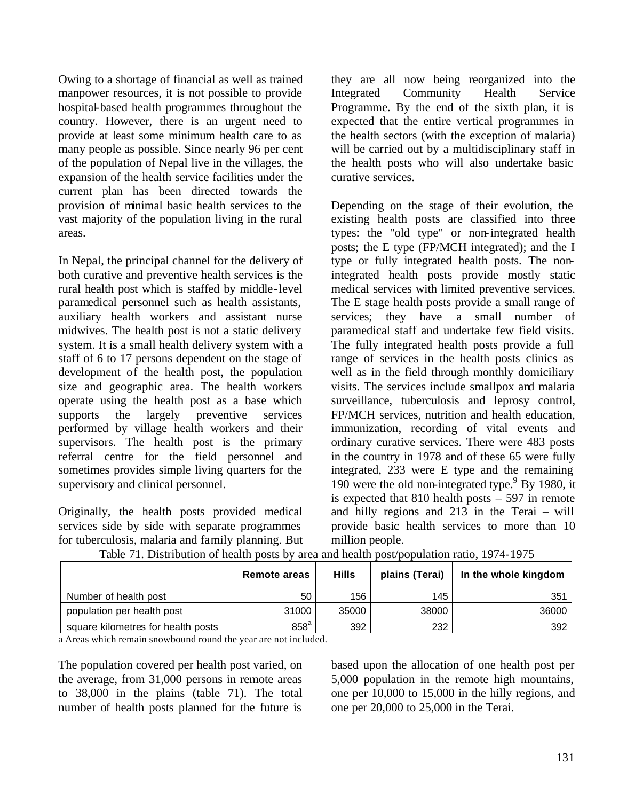Owing to a shortage of financial as well as trained manpower resources, it is not possible to provide hospital-based health programmes throughout the country. However, there is an urgent need to provide at least some minimum health care to as many people as possible. Since nearly 96 per cent of the population of Nepal live in the villages, the expansion of the health service facilities under the current plan has been directed towards the provision of minimal basic health services to the vast majority of the population living in the rural areas.

In Nepal, the principal channel for the delivery of both curative and preventive health services is the rural health post which is staffed by middle-level paramedical personnel such as health assistants, auxiliary health workers and assistant nurse midwives. The health post is not a static delivery system. It is a small health delivery system with a staff of 6 to 17 persons dependent on the stage of development of the health post, the population size and geographic area. The health workers operate using the health post as a base which supports the largely preventive services performed by village health workers and their supervisors. The health post is the primary referral centre for the field personnel and sometimes provides simple living quarters for the supervisory and clinical personnel.

Originally, the health posts provided medical services side by side with separate programmes for tuberculosis, malaria and family planning. But they are all now being reorganized into the Integrated Community Health Service Programme. By the end of the sixth plan, it is expected that the entire vertical programmes in the health sectors (with the exception of malaria) will be carried out by a multidisciplinary staff in the health posts who will also undertake basic curative services.

Depending on the stage of their evolution, the existing health posts are classified into three types: the "old type" or non-integrated health posts; the E type (FP/MCH integrated); and the I type or fully integrated health posts. The nonintegrated health posts provide mostly static medical services with limited preventive services. The E stage health posts provide a small range of services; they have a small number of paramedical staff and undertake few field visits. The fully integrated health posts provide a full range of services in the health posts clinics as well as in the field through monthly domiciliary visits. The services include smallpox and malaria surveillance, tuberculosis and leprosy control, FP/MCH services, nutrition and health education, immunization, recording of vital events and ordinary curative services. There were 483 posts in the country in 1978 and of these 65 were fully integrated, 233 were E type and the remaining 190 were the old non-integrated type.<sup>9</sup> By 1980, it is expected that 810 health posts – 597 in remote and hilly regions and 213 in the Terai – will provide basic health services to more than 10 million people.

|                                    | Remote areas | <b>Hills</b> | plains (Terai) | In the whole kingdom |
|------------------------------------|--------------|--------------|----------------|----------------------|
| Number of health post              | 50           | 156          | 145            | 351                  |
| population per health post         | 31000        | 35000        | 38000          | 36000                |
| square kilometres for health posts | $858^a$      | 392          | 232            | 392                  |

Table 71. Distribution of health posts by area and health post/population ratio, 1974-1975

a Areas which remain snowbound round the year are not included.

The population covered per health post varied, on the average, from 31,000 persons in remote areas to 38,000 in the plains (table 71). The total number of health posts planned for the future is

based upon the allocation of one health post per 5,000 population in the remote high mountains, one per 10,000 to 15,000 in the hilly regions, and one per 20,000 to 25,000 in the Terai.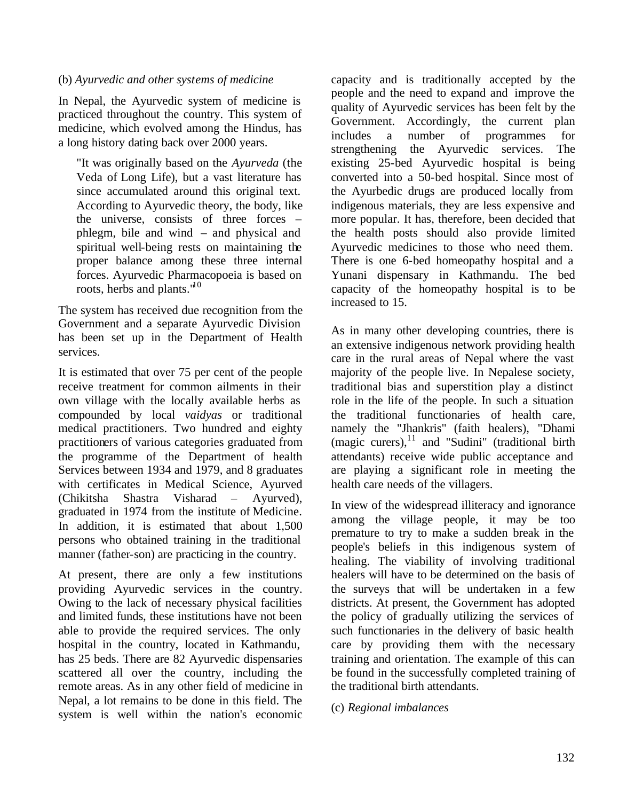#### (b) *Ayurvedic and other systems of medicine*

In Nepal, the Ayurvedic system of medicine is practiced throughout the country. This system of medicine, which evolved among the Hindus, has a long history dating back over 2000 years.

"It was originally based on the *Ayurveda* (the Veda of Long Life), but a vast literature has since accumulated around this original text. According to Ayurvedic theory, the body, like the universe, consists of three forces – phlegm, bile and wind – and physical and spiritual well-being rests on maintaining the proper balance among these three internal forces. Ayurvedic Pharmacopoeia is based on roots, herbs and plants."<sup>10</sup>

The system has received due recognition from the Government and a separate Ayurvedic Division has been set up in the Department of Health services.

It is estimated that over 75 per cent of the people receive treatment for common ailments in their own village with the locally available herbs as compounded by local *vaidyas* or traditional medical practitioners. Two hundred and eighty practitioners of various categories graduated from the programme of the Department of health Services between 1934 and 1979, and 8 graduates with certificates in Medical Science, Ayurved (Chikitsha Shastra Visharad – Ayurved), graduated in 1974 from the institute of Medicine. In addition, it is estimated that about 1,500 persons who obtained training in the traditional manner (father-son) are practicing in the country.

At present, there are only a few institutions providing Ayurvedic services in the country. Owing to the lack of necessary physical facilities and limited funds, these institutions have not been able to provide the required services. The only hospital in the country, located in Kathmandu, has 25 beds. There are 82 Ayurvedic dispensaries scattered all over the country, including the remote areas. As in any other field of medicine in Nepal, a lot remains to be done in this field. The system is well within the nation's economic

capacity and is traditionally accepted by the people and the need to expand and improve the quality of Ayurvedic services has been felt by the Government. Accordingly, the current plan includes a number of programmes for strengthening the Ayurvedic services. The existing 25-bed Ayurvedic hospital is being converted into a 50-bed hospital. Since most of the Ayurbedic drugs are produced locally from indigenous materials, they are less expensive and more popular. It has, therefore, been decided that the health posts should also provide limited Ayurvedic medicines to those who need them. There is one 6-bed homeopathy hospital and a Yunani dispensary in Kathmandu. The bed capacity of the homeopathy hospital is to be increased to 15.

As in many other developing countries, there is an extensive indigenous network providing health care in the rural areas of Nepal where the vast majority of the people live. In Nepalese society, traditional bias and superstition play a distinct role in the life of the people. In such a situation the traditional functionaries of health care, namely the "Jhankris" (faith healers), "Dhami (magic curers), $^{11}$  and "Sudini" (traditional birth attendants) receive wide public acceptance and are playing a significant role in meeting the health care needs of the villagers.

In view of the widespread illiteracy and ignorance among the village people, it may be too premature to try to make a sudden break in the people's beliefs in this indigenous system of healing. The viability of involving traditional healers will have to be determined on the basis of the surveys that will be undertaken in a few districts. At present, the Government has adopted the policy of gradually utilizing the services of such functionaries in the delivery of basic health care by providing them with the necessary training and orientation. The example of this can be found in the successfully completed training of the traditional birth attendants.

## (c) *Regional imbalances*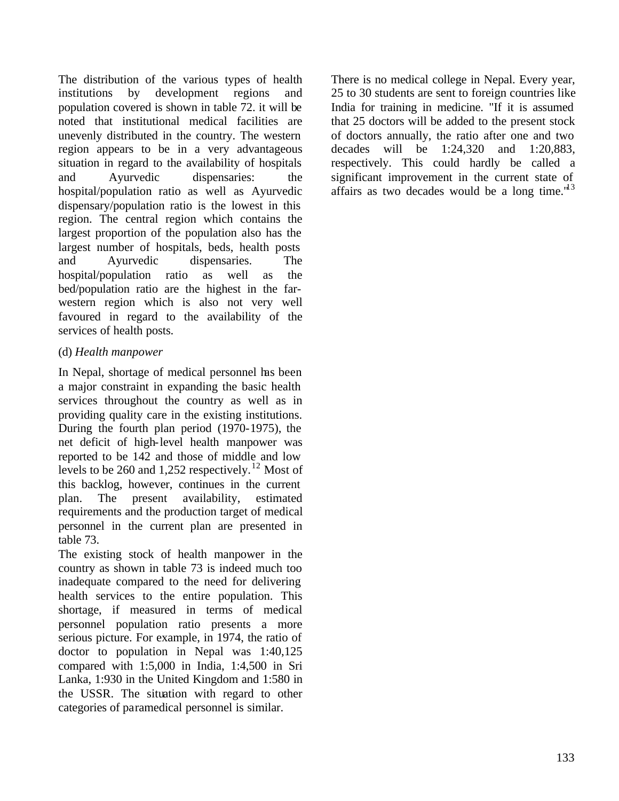The distribution of the various types of health institutions by development regions and population covered is shown in table 72. it will be noted that institutional medical facilities are unevenly distributed in the country. The western region appears to be in a very advantageous situation in regard to the availability of hospitals and Ayurvedic dispensaries: the hospital/population ratio as well as Ayurvedic dispensary/population ratio is the lowest in this region. The central region which contains the largest proportion of the population also has the largest number of hospitals, beds, health posts and Ayurvedic dispensaries. The hospital/population ratio as well as the bed/population ratio are the highest in the farwestern region which is also not very well favoured in regard to the availability of the services of health posts.

## (d) *Health manpower*

In Nepal, shortage of medical personnel has been a major constraint in expanding the basic health services throughout the country as well as in providing quality care in the existing institutions. During the fourth plan period (1970-1975), the net deficit of high-level health manpower was reported to be 142 and those of middle and low levels to be 260 and 1,252 respectively.<sup>12</sup> Most of this backlog, however, continues in the current plan. The present availability, estimated requirements and the production target of medical personnel in the current plan are presented in table 73.

The existing stock of health manpower in the country as shown in table 73 is indeed much too inadequate compared to the need for delivering health services to the entire population. This shortage, if measured in terms of medical personnel population ratio presents a more serious picture. For example, in 1974, the ratio of doctor to population in Nepal was 1:40,125 compared with 1:5,000 in India, 1:4,500 in Sri Lanka, 1:930 in the United Kingdom and 1:580 in the USSR. The situation with regard to other categories of paramedical personnel is similar.

There is no medical college in Nepal. Every year, 25 to 30 students are sent to foreign countries like India for training in medicine. "If it is assumed that 25 doctors will be added to the present stock of doctors annually, the ratio after one and two decades will be 1:24,320 and 1:20,883, respectively. This could hardly be called a significant improvement in the current state of affairs as two decades would be a long time.<sup>"13</sup>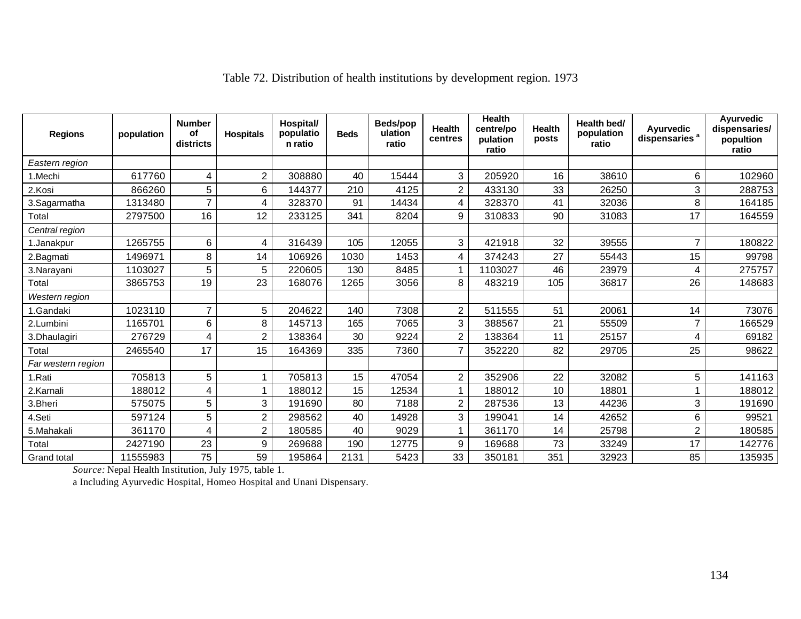| <b>Regions</b>     | population | <b>Number</b><br>οf<br>districts | <b>Hospitals</b> | Hospital/<br>populatio<br>n ratio | <b>Beds</b> | Beds/pop<br>ulation<br>ratio | <b>Health</b><br>centres | <b>Health</b><br>centre/po<br>pulation<br>ratio | Health<br>posts | Health bed/<br>population<br>ratio | Ayurvedic<br>dispensaries <sup>a</sup> | <b>Ayurvedic</b><br>dispensaries/<br>popultion<br>ratio |
|--------------------|------------|----------------------------------|------------------|-----------------------------------|-------------|------------------------------|--------------------------|-------------------------------------------------|-----------------|------------------------------------|----------------------------------------|---------------------------------------------------------|
| Eastern region     |            |                                  |                  |                                   |             |                              |                          |                                                 |                 |                                    |                                        |                                                         |
| 1.Mechi            | 617760     | 4                                | $\overline{c}$   | 308880                            | 40          | 15444                        | 3                        | 205920                                          | 16              | 38610                              | 6                                      | 102960                                                  |
| 2.Kosi             | 866260     | 5                                | 6                | 144377                            | 210         | 4125                         | $\overline{c}$           | 433130                                          | 33              | 26250                              | 3                                      | 288753                                                  |
| 3.Sagarmatha       | 1313480    | 7                                | 4                | 328370                            | 91          | 14434                        | 4                        | 328370                                          | 41              | 32036                              | 8                                      | 164185                                                  |
| Total              | 2797500    | 16                               | 12               | 233125                            | 341         | 8204                         | 9                        | 310833                                          | 90              | 31083                              | 17                                     | 164559                                                  |
| Central region     |            |                                  |                  |                                   |             |                              |                          |                                                 |                 |                                    |                                        |                                                         |
| 1.Janakpur         | 1265755    | 6                                | 4                | 316439                            | 105         | 12055                        | 3                        | 421918                                          | 32              | 39555                              | 7                                      | 180822                                                  |
| 2.Bagmati          | 1496971    | 8                                | 14               | 106926                            | 1030        | 1453                         | 4                        | 374243                                          | 27              | 55443                              | 15                                     | 99798                                                   |
| 3.Narayani         | 1103027    | 5                                | 5                | 220605                            | 130         | 8485                         | 1                        | 1103027                                         | 46              | 23979                              | 4                                      | 275757                                                  |
| Total              | 3865753    | 19                               | 23               | 168076                            | 1265        | 3056                         | 8                        | 483219                                          | 105             | 36817                              | 26                                     | 148683                                                  |
| Western region     |            |                                  |                  |                                   |             |                              |                          |                                                 |                 |                                    |                                        |                                                         |
| 1.Gandaki          | 1023110    | $\overline{7}$                   | 5                | 204622                            | 140         | 7308                         | $\overline{2}$           | 511555                                          | 51              | 20061                              | 14                                     | 73076                                                   |
| 2.Lumbini          | 1165701    | 6                                | 8                | 145713                            | 165         | 7065                         | 3                        | 388567                                          | 21              | 55509                              | 7                                      | 166529                                                  |
| 3.Dhaulagiri       | 276729     | 4                                | 2                | 138364                            | 30          | 9224                         | $\overline{2}$           | 138364                                          | 11              | 25157                              | 4                                      | 69182                                                   |
| Total              | 2465540    | 17                               | 15               | 164369                            | 335         | 7360                         | $\overline{7}$           | 352220                                          | 82              | 29705                              | 25                                     | 98622                                                   |
| Far western region |            |                                  |                  |                                   |             |                              |                          |                                                 |                 |                                    |                                        |                                                         |
| 1.Rati             | 705813     | 5                                |                  | 705813                            | 15          | 47054                        | $\overline{c}$           | 352906                                          | 22              | 32082                              | 5                                      | 141163                                                  |
| 2.Karnali          | 188012     | 4                                |                  | 188012                            | 15          | 12534                        | $\mathbf{1}$             | 188012                                          | 10              | 18801                              |                                        | 188012                                                  |
| 3.Bheri            | 575075     | 5                                | 3                | 191690                            | 80          | 7188                         | $\overline{2}$           | 287536                                          | 13              | 44236                              | 3                                      | 191690                                                  |
| 4.Seti             | 597124     | 5                                | $\overline{c}$   | 298562                            | 40          | 14928                        | 3                        | 199041                                          | 14              | 42652                              | 6                                      | 99521                                                   |
| 5.Mahakali         | 361170     | 4                                | 2                | 180585                            | 40          | 9029                         | 1                        | 361170                                          | 14              | 25798                              | 2                                      | 180585                                                  |
| Total              | 2427190    | 23                               | 9                | 269688                            | 190         | 12775                        | 9                        | 169688                                          | 73              | 33249                              | 17                                     | 142776                                                  |
| Grand total        | 11555983   | 75                               | 59               | 195864                            | 2131        | 5423                         | 33                       | 350181                                          | 351             | 32923                              | 85                                     | 135935                                                  |

## Table 72. Distribution of health institutions by development region. 1973

*Source:* Nepal Health Institution, July 1975, table 1.

a Including Ayurvedic Hospital, Homeo Hospital and Unani Dispensary.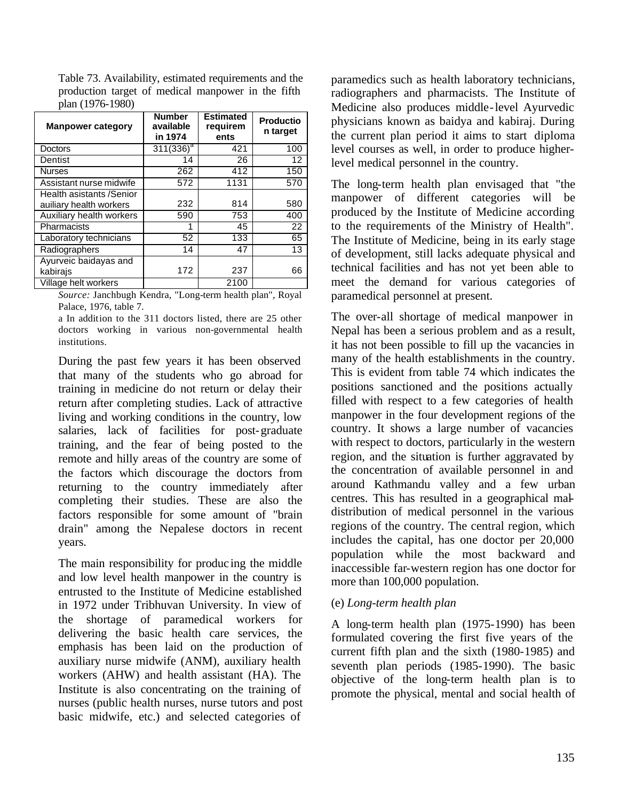Table 73. Availability, estimated requirements and the production target of medical manpower in the fifth plan (1976-1980)

| <b>Manpower category</b> | <b>Number</b><br>available<br>in 1974 | <b>Estimated</b><br>requirem<br>ents | <b>Productio</b><br>n target |
|--------------------------|---------------------------------------|--------------------------------------|------------------------------|
| <b>Doctors</b>           | $311(336)^a$                          | 421                                  | 100                          |
| Dentist                  | 14                                    | 26                                   | $12 \overline{ }$            |
| <b>Nurses</b>            | 262                                   | 412                                  | 150                          |
| Assistant nurse midwife  | 572                                   | 1131                                 | 570                          |
| Health asistants /Senior |                                       |                                      |                              |
| auiliary health workers  | 232                                   | 814                                  | 580                          |
| Auxiliary health workers | 590                                   | 753                                  | 400                          |
| Pharmacists              | 1                                     | 45                                   | 22                           |
| Laboratory technicians   | 52                                    | 133                                  | 65                           |
| Radiographers            | 14                                    | 47                                   | 13                           |
| Ayurveic baidayas and    |                                       |                                      |                              |
| kabirajs                 | 172                                   | 237                                  | 66                           |
| Village helt workers     |                                       | 2100                                 |                              |

*Source:* Janchbugh Kendra, "Long-term health plan", Royal Palace, 1976, table 7.

a In addition to the 311 doctors listed, there are 25 other doctors working in various non-governmental health institutions.

During the past few years it has been observed that many of the students who go abroad for training in medicine do not return or delay their return after completing studies. Lack of attractive living and working conditions in the country, low salaries, lack of facilities for post-graduate training, and the fear of being posted to the remote and hilly areas of the country are some of the factors which discourage the doctors from returning to the country immediately after completing their studies. These are also the factors responsible for some amount of "brain drain" among the Nepalese doctors in recent years.

The main responsibility for produc ing the middle and low level health manpower in the country is entrusted to the Institute of Medicine established in 1972 under Tribhuvan University. In view of the shortage of paramedical workers for delivering the basic health care services, the emphasis has been laid on the production of auxiliary nurse midwife (ANM), auxiliary health workers (AHW) and health assistant (HA). The Institute is also concentrating on the training of nurses (public health nurses, nurse tutors and post basic midwife, etc.) and selected categories of

paramedics such as health laboratory technicians, radiographers and pharmacists. The Institute of Medicine also produces middle-level Ayurvedic physicians known as baidya and kabiraj. During the current plan period it aims to start diploma level courses as well, in order to produce higherlevel medical personnel in the country.

The long-term health plan envisaged that "the manpower of different categories will be produced by the Institute of Medicine according to the requirements of the Ministry of Health". The Institute of Medicine, being in its early stage of development, still lacks adequate physical and technical facilities and has not yet been able to meet the demand for various categories of paramedical personnel at present.

The over-all shortage of medical manpower in Nepal has been a serious problem and as a result, it has not been possible to fill up the vacancies in many of the health establishments in the country. This is evident from table 74 which indicates the positions sanctioned and the positions actually filled with respect to a few categories of health manpower in the four development regions of the country. It shows a large number of vacancies with respect to doctors, particularly in the western region, and the situation is further aggravated by the concentration of available personnel in and around Kathmandu valley and a few urban centres. This has resulted in a geographical maldistribution of medical personnel in the various regions of the country. The central region, which includes the capital, has one doctor per 20,000 population while the most backward and inaccessible far-western region has one doctor for more than 100,000 population.

## (e) *Long-term health plan*

A long-term health plan (1975-1990) has been formulated covering the first five years of the current fifth plan and the sixth (1980-1985) and seventh plan periods (1985-1990). The basic objective of the long-term health plan is to promote the physical, mental and social health of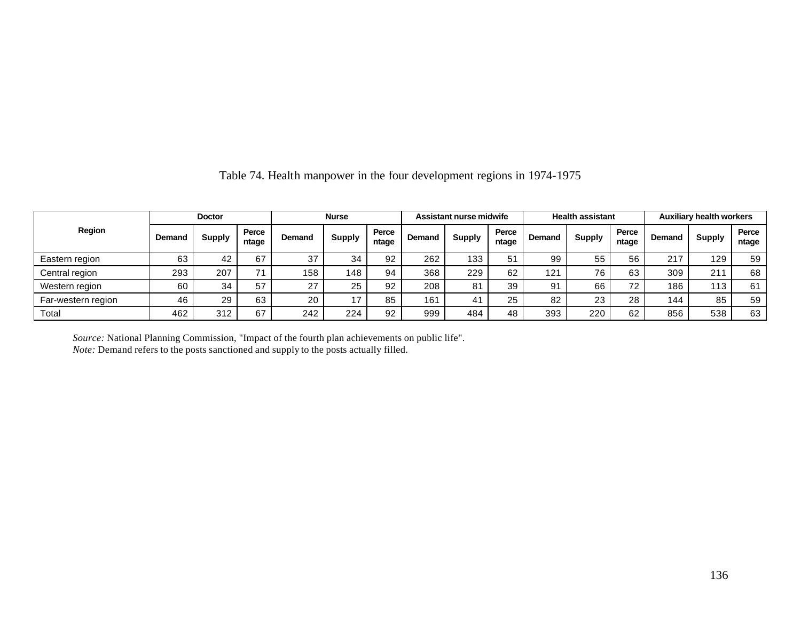|                    |        | <b>Doctor</b> |                | <b>Nurse</b> |               | Assistant nurse midwife |        |               | <b>Health assistant</b> |               |               | <b>Auxiliary health workers</b> |        |               |                |
|--------------------|--------|---------------|----------------|--------------|---------------|-------------------------|--------|---------------|-------------------------|---------------|---------------|---------------------------------|--------|---------------|----------------|
| Region             | Demand | <b>Supply</b> | Perce<br>ntage | Demand       | <b>Supply</b> | Perce<br>ntage          | Demand | <b>Supply</b> | Perce<br>ntage          | <b>Demand</b> | <b>Supply</b> | Perce<br>ntage                  | Demand | <b>Supply</b> | Perce<br>ntage |
| Eastern region     | 63     | 42            | 67             | 37           | 34            | 92                      | 262    | 133           | 51                      | 99            | 55            | 56                              | 217    | 129           | 59             |
| Central region     | 293    | 207           | 71             | 158          | 148           | 94                      | 368    | 229           | 62                      | 121           | 76            | 63                              | 309    | 211           | 68             |
| Western region     | 60     | 34            | 57             | 27           | 25            | 92                      | 208    | 81            | 39                      | 91            | 66            | 72                              | 186    | 113           | 61             |
| Far-western region | 46     | 29            | 63             | 20           |               | 85                      | 161    | 41            | 25                      | 82            | 23            | 28                              | 144    | 85            | 59             |
| Total              | 462    | 312           | 67             | 242          | 224           | 92                      | 999    | 484           | 48                      | 393           | 220           | 62                              | 856    | 538           | 63             |

Table 74. Health manpower in the four development regions in 1974-1975

*Source:* National Planning Commission, "Impact of the fourth plan achievements on public life". *Note:* Demand refers to the posts sanctioned and supply to the posts actually filled.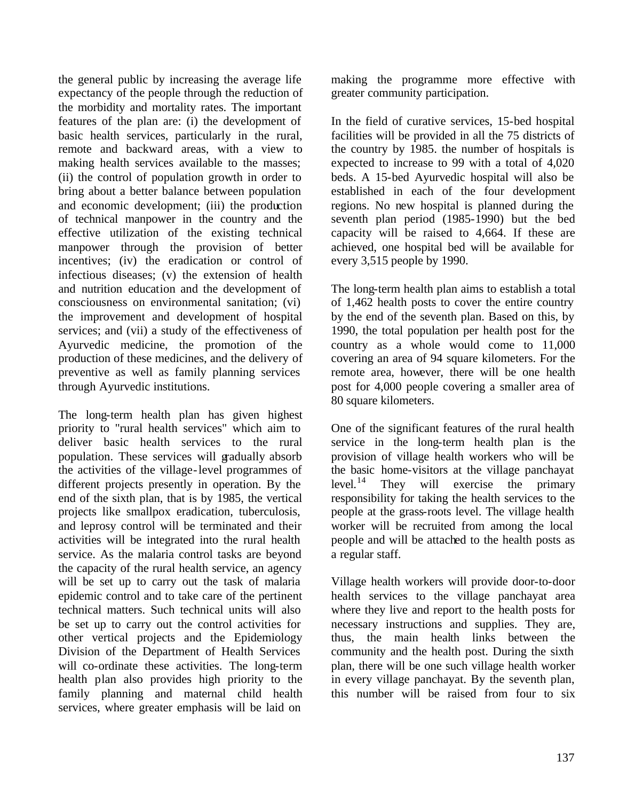the general public by increasing the average life expectancy of the people through the reduction of the morbidity and mortality rates. The important features of the plan are: (i) the development of basic health services, particularly in the rural, remote and backward areas, with a view to making health services available to the masses; (ii) the control of population growth in order to bring about a better balance between population and economic development; (iii) the production of technical manpower in the country and the effective utilization of the existing technical manpower through the provision of better incentives; (iv) the eradication or control of infectious diseases; (v) the extension of health and nutrition education and the development of consciousness on environmental sanitation; (vi) the improvement and development of hospital services; and (vii) a study of the effectiveness of Ayurvedic medicine, the promotion of the production of these medicines, and the delivery of preventive as well as family planning services through Ayurvedic institutions.

The long-term health plan has given highest priority to "rural health services" which aim to deliver basic health services to the rural population. These services will gradually absorb the activities of the village-level programmes of different projects presently in operation. By the end of the sixth plan, that is by 1985, the vertical projects like smallpox eradication, tuberculosis, and leprosy control will be terminated and their activities will be integrated into the rural health service. As the malaria control tasks are beyond the capacity of the rural health service, an agency will be set up to carry out the task of malaria epidemic control and to take care of the pertinent technical matters. Such technical units will also be set up to carry out the control activities for other vertical projects and the Epidemiology Division of the Department of Health Services will co-ordinate these activities. The long-term health plan also provides high priority to the family planning and maternal child health services, where greater emphasis will be laid on

making the programme more effective with greater community participation.

In the field of curative services, 15-bed hospital facilities will be provided in all the 75 districts of the country by 1985. the number of hospitals is expected to increase to 99 with a total of 4,020 beds. A 15-bed Ayurvedic hospital will also be established in each of the four development regions. No new hospital is planned during the seventh plan period (1985-1990) but the bed capacity will be raised to 4,664. If these are achieved, one hospital bed will be available for every 3,515 people by 1990.

The long-term health plan aims to establish a total of 1,462 health posts to cover the entire country by the end of the seventh plan. Based on this, by 1990, the total population per health post for the country as a whole would come to 11,000 covering an area of 94 square kilometers. For the remote area, however, there will be one health post for 4,000 people covering a smaller area of 80 square kilometers.

One of the significant features of the rural health service in the long-term health plan is the provision of village health workers who will be the basic home-visitors at the village panchayat level.<sup>14</sup> They will exercise the primary responsibility for taking the health services to the people at the grass-roots level. The village health worker will be recruited from among the local people and will be attached to the health posts as a regular staff.

Village health workers will provide door-to-door health services to the village panchayat area where they live and report to the health posts for necessary instructions and supplies. They are, thus, the main health links between the community and the health post. During the sixth plan, there will be one such village health worker in every village panchayat. By the seventh plan, this number will be raised from four to six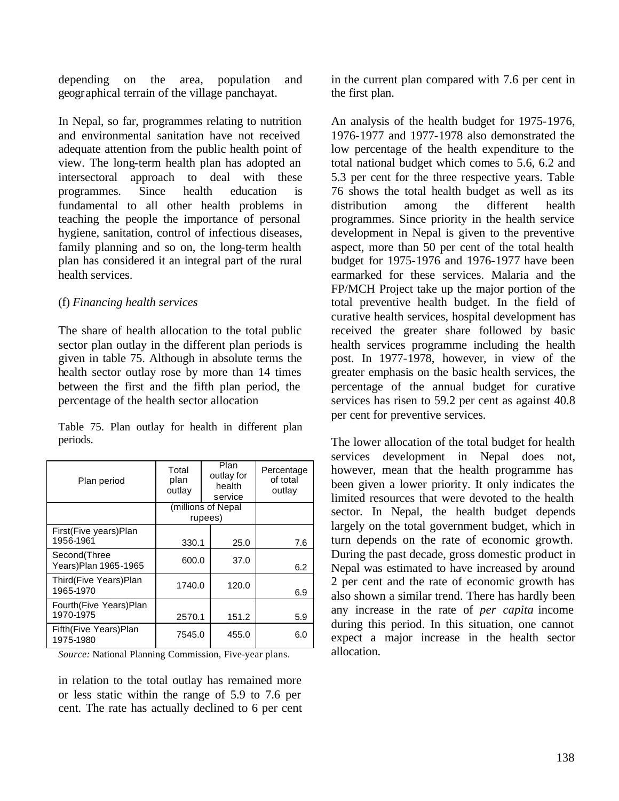depending on the area, population and geographical terrain of the village panchayat.

In Nepal, so far, programmes relating to nutrition and environmental sanitation have not received adequate attention from the public health point of view. The long-term health plan has adopted an intersectoral approach to deal with these programmes. Since health education is fundamental to all other health problems in teaching the people the importance of personal hygiene, sanitation, control of infectious diseases, family planning and so on, the long-term health plan has considered it an integral part of the rural health services.

#### (f) *Financing health services*

The share of health allocation to the total public sector plan outlay in the different plan periods is given in table 75. Although in absolute terms the health sector outlay rose by more than 14 times between the first and the fifth plan period, the percentage of the health sector allocation

Table 75. Plan outlay for health in different plan periods.

| Plan period                           | Total<br>plan<br>outlay | Percentage<br>of total<br>outlay |     |  |
|---------------------------------------|-------------------------|----------------------------------|-----|--|
|                                       |                         | (millions of Nepal<br>rupees)    |     |  |
|                                       |                         |                                  |     |  |
| First(Five years)Plan<br>1956-1961    | 330.1                   | 25.0                             | 7.6 |  |
| Second(Three<br>Years) Plan 1965-1965 | 600.0                   | 37.0                             | 6.2 |  |
| Third(Five Years)Plan<br>1965-1970    |                         | 1740.0<br>120.0                  |     |  |
| Fourth(Five Years)Plan<br>1970-1975   | 2570.1                  | 151.2                            | 5.9 |  |
| Fifth(Five Years)Plan<br>1975-1980    | 7545.0                  | 455.0                            | 6.0 |  |

*Source:* National Planning Commission, Five-year plans.

in relation to the total outlay has remained more or less static within the range of 5.9 to 7.6 per cent. The rate has actually declined to 6 per cent in the current plan compared with 7.6 per cent in the first plan.

An analysis of the health budget for 1975-1976, 1976-1977 and 1977-1978 also demonstrated the low percentage of the health expenditure to the total national budget which comes to 5.6, 6.2 and 5.3 per cent for the three respective years. Table 76 shows the total health budget as well as its distribution among the different health programmes. Since priority in the health service development in Nepal is given to the preventive aspect, more than 50 per cent of the total health budget for 1975-1976 and 1976-1977 have been earmarked for these services. Malaria and the FP/MCH Project take up the major portion of the total preventive health budget. In the field of curative health services, hospital development has received the greater share followed by basic health services programme including the health post. In 1977-1978, however, in view of the greater emphasis on the basic health services, the percentage of the annual budget for curative services has risen to 59.2 per cent as against 40.8 per cent for preventive services.

The lower allocation of the total budget for health services development in Nepal does not, however, mean that the health programme has been given a lower priority. It only indicates the limited resources that were devoted to the health sector. In Nepal, the health budget depends largely on the total government budget, which in turn depends on the rate of economic growth. During the past decade, gross domestic product in Nepal was estimated to have increased by around 2 per cent and the rate of economic growth has also shown a similar trend. There has hardly been any increase in the rate of *per capita* income during this period. In this situation, one cannot expect a major increase in the health sector allocation.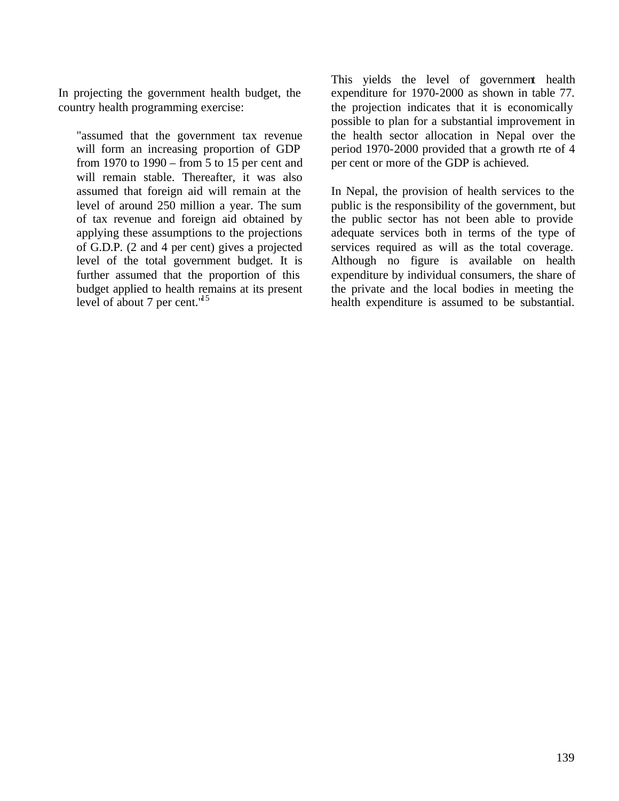In projecting the government health budget, the country health programming exercise:

"assumed that the government tax revenue will form an increasing proportion of GDP from 1970 to 1990 – from 5 to 15 per cent and will remain stable. Thereafter, it was also assumed that foreign aid will remain at the level of around 250 million a year. The sum of tax revenue and foreign aid obtained by applying these assumptions to the projections of G.D.P. (2 and 4 per cent) gives a projected level of the total government budget. It is further assumed that the proportion of this budget applied to health remains at its present level of about 7 per cent. $15$ 

This yields the level of government health expenditure for 1970-2000 as shown in table 77. the projection indicates that it is economically possible to plan for a substantial improvement in the health sector allocation in Nepal over the period 1970-2000 provided that a growth rte of 4 per cent or more of the GDP is achieved.

In Nepal, the provision of health services to the public is the responsibility of the government, but the public sector has not been able to provide adequate services both in terms of the type of services required as will as the total coverage. Although no figure is available on health expenditure by individual consumers, the share of the private and the local bodies in meeting the health expenditure is assumed to be substantial.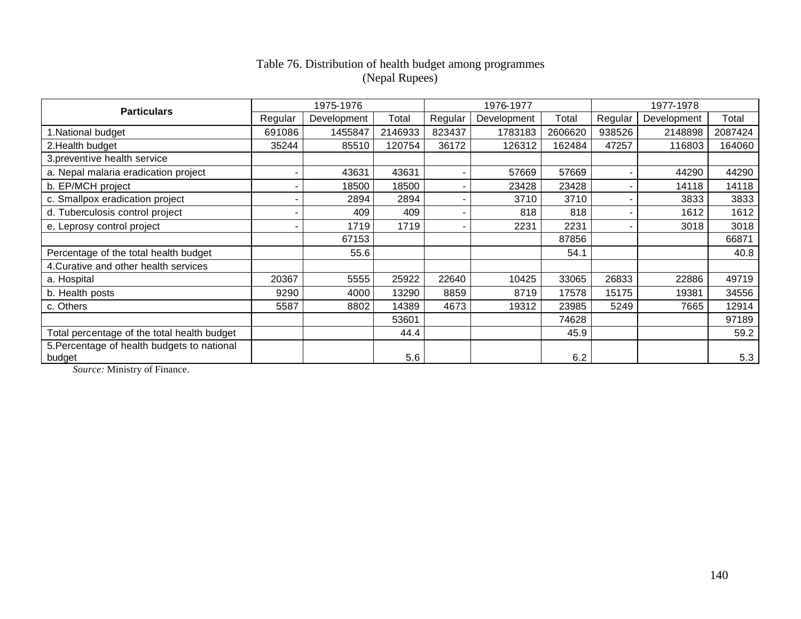#### Table 76. Distribution of health budget among programmes (Nepal Rupees)

| <b>Particulars</b>                                    |         | 1975-1976   |         |         | 1976-1977   |         | 1977-1978 |             |         |  |
|-------------------------------------------------------|---------|-------------|---------|---------|-------------|---------|-----------|-------------|---------|--|
|                                                       | Regular | Development | Total   | Regular | Development | Total   | Regular   | Development | Total   |  |
| 1. National budget                                    | 691086  | 1455847     | 2146933 | 823437  | 1783183     | 2606620 | 938526    | 2148898     | 2087424 |  |
| 2. Health budget                                      | 35244   | 85510       | 120754  | 36172   | 126312      | 162484  | 47257     | 116803      | 164060  |  |
| 3.preventive health service                           |         |             |         |         |             |         |           |             |         |  |
| a. Nepal malaria eradication project                  |         | 43631       | 43631   |         | 57669       | 57669   |           | 44290       | 44290   |  |
| b. EP/MCH project                                     |         | 18500       | 18500   |         | 23428       | 23428   |           | 14118       | 14118   |  |
| c. Smallpox eradication project                       |         | 2894        | 2894    |         | 3710        | 3710    |           | 3833        | 3833    |  |
| d. Tuberculosis control project                       |         | 409         | 409     |         | 818         | 818     |           | 1612        | 1612    |  |
| e. Leprosy control project                            |         | 1719        | 1719    |         | 2231        | 2231    |           | 3018        | 3018    |  |
|                                                       |         | 67153       |         |         |             | 87856   |           |             | 66871   |  |
| Percentage of the total health budget                 |         | 55.6        |         |         |             | 54.1    |           |             | 40.8    |  |
| 4. Curative and other health services                 |         |             |         |         |             |         |           |             |         |  |
| a. Hospital                                           | 20367   | 5555        | 25922   | 22640   | 10425       | 33065   | 26833     | 22886       | 49719   |  |
| b. Health posts                                       | 9290    | 4000        | 13290   | 8859    | 8719        | 17578   | 15175     | 19381       | 34556   |  |
| c. Others                                             | 5587    | 8802        | 14389   | 4673    | 19312       | 23985   | 5249      | 7665        | 12914   |  |
|                                                       |         |             | 53601   |         |             | 74628   |           |             | 97189   |  |
| Total percentage of the total health budget           |         |             | 44.4    |         |             | 45.9    |           |             | 59.2    |  |
| 5. Percentage of health budgets to national<br>budget |         |             | 5.6     |         |             | 6.2     |           |             | 5.3     |  |

*Source:* Ministry of Finance.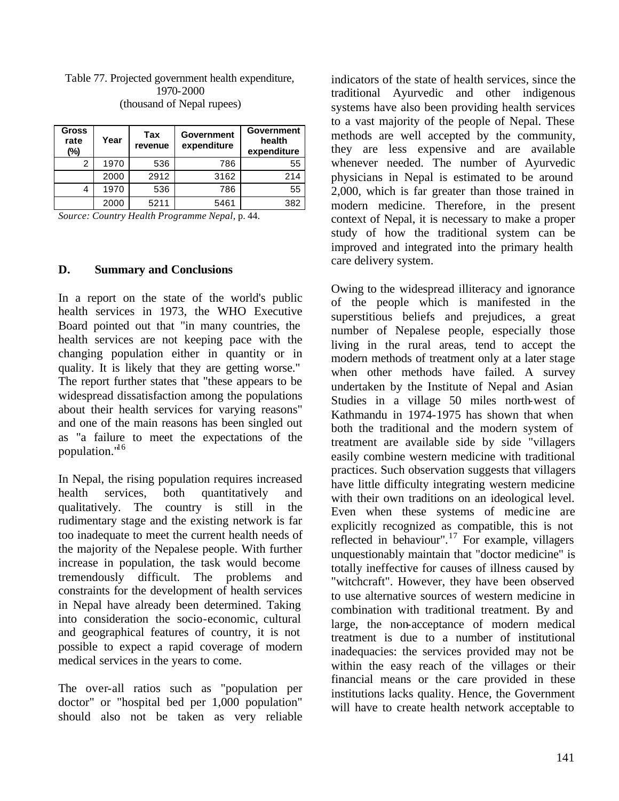| Table 77. Projected government health expenditure, |
|----------------------------------------------------|
| 1970-2000                                          |
| (thousand of Nepal rupees)                         |

| <b>Gross</b><br>rate<br>(%) | Year | Tax<br>revenue | <b>Government</b><br>expenditure | <b>Government</b><br>health<br>expenditure |
|-----------------------------|------|----------------|----------------------------------|--------------------------------------------|
|                             | 1970 | 536            | 786                              | 55                                         |
|                             | 2000 | 2912           | 3162                             | 214                                        |
|                             | 1970 | 536            | 786                              | 55                                         |
|                             | 2000 | 5211           | 5461                             | 382                                        |

*Source: Country Health Programme Nepal,* p. 44.

#### **D. Summary and Conclusions**

In a report on the state of the world's public health services in 1973, the WHO Executive Board pointed out that "in many countries, the health services are not keeping pace with the changing population either in quantity or in quality. It is likely that they are getting worse." The report further states that "these appears to be widespread dissatisfaction among the populations about their health services for varying reasons" and one of the main reasons has been singled out as "a failure to meet the expectations of the population."<sup>16</sup>

In Nepal, the rising population requires increased health services, both quantitatively and qualitatively. The country is still in the rudimentary stage and the existing network is far too inadequate to meet the current health needs of the majority of the Nepalese people. With further increase in population, the task would become tremendously difficult. The problems and constraints for the development of health services in Nepal have already been determined. Taking into consideration the socio-economic, cultural and geographical features of country, it is not possible to expect a rapid coverage of modern medical services in the years to come.

The over-all ratios such as "population per doctor" or "hospital bed per 1,000 population" should also not be taken as very reliable indicators of the state of health services, since the traditional Ayurvedic and other indigenous systems have also been providing health services to a vast majority of the people of Nepal. These methods are well accepted by the community, they are less expensive and are available whenever needed. The number of Ayurvedic physicians in Nepal is estimated to be around 2,000, which is far greater than those trained in modern medicine. Therefore, in the present context of Nepal, it is necessary to make a proper study of how the traditional system can be improved and integrated into the primary health care delivery system.

Owing to the widespread illiteracy and ignorance of the people which is manifested in the superstitious beliefs and prejudices, a great number of Nepalese people, especially those living in the rural areas, tend to accept the modern methods of treatment only at a later stage when other methods have failed. A survey undertaken by the Institute of Nepal and Asian Studies in a village 50 miles north-west of Kathmandu in 1974-1975 has shown that when both the traditional and the modern system of treatment are available side by side "villagers easily combine western medicine with traditional practices. Such observation suggests that villagers have little difficulty integrating western medicine with their own traditions on an ideological level. Even when these systems of medic ine are explicitly recognized as compatible, this is not reflected in behaviour".<sup>17</sup> For example, villagers unquestionably maintain that "doctor medicine" is totally ineffective for causes of illness caused by "witchcraft". However, they have been observed to use alternative sources of western medicine in combination with traditional treatment. By and large, the non-acceptance of modern medical treatment is due to a number of institutional inadequacies: the services provided may not be within the easy reach of the villages or their financial means or the care provided in these institutions lacks quality. Hence, the Government will have to create health network acceptable to